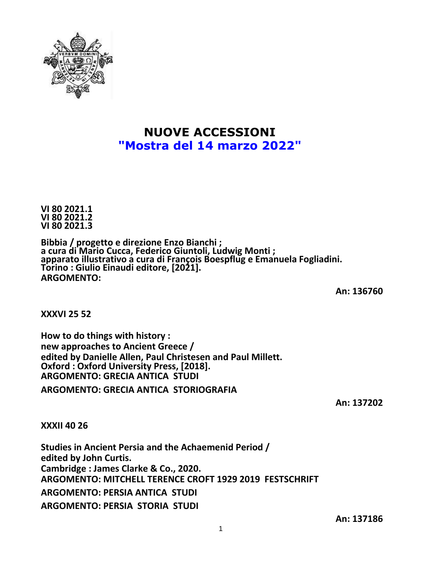

## **NUOVE ACCESSIONI "Mostra del 14 marzo 2022"**

**VI 80 2021.1 VI 80 2021.2 VI 80 2021.3**

**Bibbia / progetto e direzione Enzo Bianchi ; a cura di Mario Cucca, Federico Giuntoli, Ludwig Monti ; apparato illustrativo a cura di François Boespflug e Emanuela Fogliadini. Torino : Giulio Einaudi editore, [2021]. ARGOMENTO:**

**An: 136760**

**XXXVI 25 52**

**How to do things with history : new approaches to Ancient Greece / edited by Danielle Allen, Paul Christesen and Paul Millett. Oxford : Oxford University Press, [2018]. ARGOMENTO: GRECIA ANTICA STUDI**

**ARGOMENTO: GRECIA ANTICA STORIOGRAFIA**

**An: 137202**

**XXXII 40 26**

**Studies in Ancient Persia and the Achaemenid Period / edited by John Curtis. Cambridge : James Clarke & Co., 2020. ARGOMENTO: MITCHELL TERENCE CROFT 1929 2019 FESTSCHRIFT ARGOMENTO: PERSIA ANTICA STUDI ARGOMENTO: PERSIA STORIA STUDI**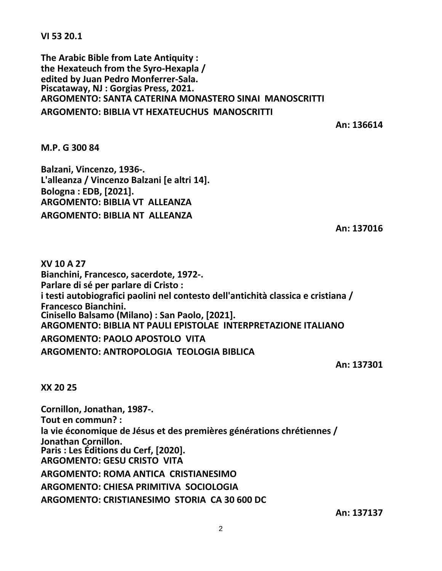**VI 53 20.1**

**The Arabic Bible from Late Antiquity : the Hexateuch from the Syro-Hexapla / edited by Juan Pedro Monferrer-Sala. Piscataway, NJ : Gorgias Press, 2021. ARGOMENTO: SANTA CATERINA MONASTERO SINAI MANOSCRITTI ARGOMENTO: BIBLIA VT HEXATEUCHUS MANOSCRITTI**

**An: 136614**

**M.P. G 300 84**

**Balzani, Vincenzo, 1936-. L'alleanza / Vincenzo Balzani [e altri 14]. Bologna : EDB, [2021]. ARGOMENTO: BIBLIA VT ALLEANZA ARGOMENTO: BIBLIA NT ALLEANZA**

**An: 137016**

**XV 10 A 27 Bianchini, Francesco, sacerdote, 1972-. Parlare di sé per parlare di Cristo : i testi autobiografici paolini nel contesto dell'antichità classica e cristiana / Francesco Bianchini. Cinisello Balsamo (Milano) : San Paolo, [2021]. ARGOMENTO: BIBLIA NT PAULI EPISTOLAE INTERPRETAZIONE ITALIANO ARGOMENTO: PAOLO APOSTOLO VITA ARGOMENTO: ANTROPOLOGIA TEOLOGIA BIBLICA**

**An: 137301**

**XX 20 25**

**Cornillon, Jonathan, 1987-. Tout en commun? : la vie économique de Jésus et des premières générations chrétiennes / Jonathan Cornillon. Paris : Les Éditions du Cerf, [2020]. ARGOMENTO: GESU CRISTO VITA ARGOMENTO: ROMA ANTICA CRISTIANESIMO ARGOMENTO: CHIESA PRIMITIVA SOCIOLOGIA**

**ARGOMENTO: CRISTIANESIMO STORIA CA 30 600 DC**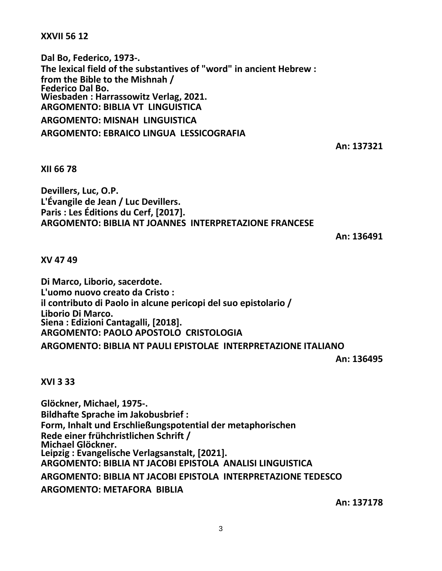**XXVII 56 12**

**Dal Bo, Federico, 1973-. The lexical field of the substantives of "word" in ancient Hebrew : from the Bible to the Mishnah / Federico Dal Bo. Wiesbaden : Harrassowitz Verlag, 2021. ARGOMENTO: BIBLIA VT LINGUISTICA ARGOMENTO: MISNAH LINGUISTICA**

**ARGOMENTO: EBRAICO LINGUA LESSICOGRAFIA**

**An: 137321**

**XII 66 78**

**Devillers, Luc, O.P. L'Évangile de Jean / Luc Devillers. Paris : Les Éditions du Cerf, [2017]. ARGOMENTO: BIBLIA NT JOANNES INTERPRETAZIONE FRANCESE**

**An: 136491**

**XV 47 49**

**Di Marco, Liborio, sacerdote. L'uomo nuovo creato da Cristo : il contributo di Paolo in alcune pericopi del suo epistolario / Liborio Di Marco. Siena : Edizioni Cantagalli, [2018]. ARGOMENTO: PAOLO APOSTOLO CRISTOLOGIA ARGOMENTO: BIBLIA NT PAULI EPISTOLAE INTERPRETAZIONE ITALIANO**

**An: 136495**

**XVI 3 33**

**Glöckner, Michael, 1975-. Bildhafte Sprache im Jakobusbrief : Form, Inhalt und Erschließungspotential der metaphorischen Rede einer frühchristlichen Schrift / Michael Glöckner. Leipzig : Evangelische Verlagsanstalt, [2021]. ARGOMENTO: BIBLIA NT JACOBI EPISTOLA ANALISI LINGUISTICA ARGOMENTO: BIBLIA NT JACOBI EPISTOLA INTERPRETAZIONE TEDESCO ARGOMENTO: METAFORA BIBLIA**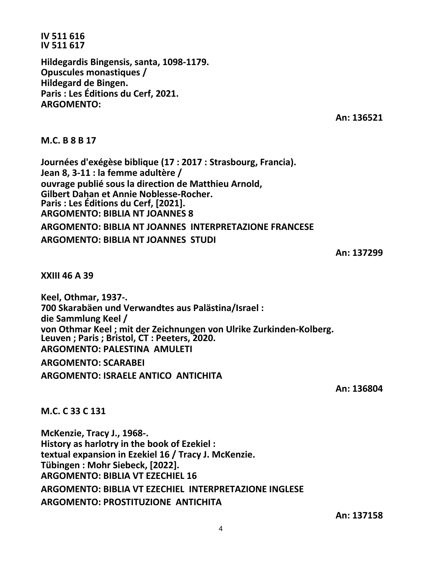**IV 511 616 IV 511 617**

**Hildegardis Bingensis, santa, 1098-1179. Opuscules monastiques / Hildegard de Bingen. Paris : Les Éditions du Cerf, 2021. ARGOMENTO:**

**An: 136521**

**M.C. B 8 B 17**

**Journées d'exégèse biblique (17 : 2017 : Strasbourg, Francia). Jean 8, 3-11 : la femme adultère / ouvrage publié sous la direction de Matthieu Arnold, Gilbert Dahan et Annie Noblesse-Rocher. Paris : Les Éditions du Cerf, [2021]. ARGOMENTO: BIBLIA NT JOANNES 8 ARGOMENTO: BIBLIA NT JOANNES INTERPRETAZIONE FRANCESE ARGOMENTO: BIBLIA NT JOANNES STUDI**

**An: 137299**

**XXIII 46 A 39**

**Keel, Othmar, 1937-. 700 Skarabäen und Verwandtes aus Palästina/Israel : die Sammlung Keel / von Othmar Keel ; mit der Zeichnungen von Ulrike Zurkinden-Kolberg. Leuven ; Paris ; Bristol, CT : Peeters, 2020. ARGOMENTO: PALESTINA AMULETI ARGOMENTO: SCARABEI ARGOMENTO: ISRAELE ANTICO ANTICHITA**

**An: 136804**

**M.C. C 33 C 131**

**McKenzie, Tracy J., 1968-. History as harlotry in the book of Ezekiel : textual expansion in Ezekiel 16 / Tracy J. McKenzie. Tübingen : Mohr Siebeck, [2022]. ARGOMENTO: BIBLIA VT EZECHIEL 16 ARGOMENTO: BIBLIA VT EZECHIEL INTERPRETAZIONE INGLESE ARGOMENTO: PROSTITUZIONE ANTICHITA**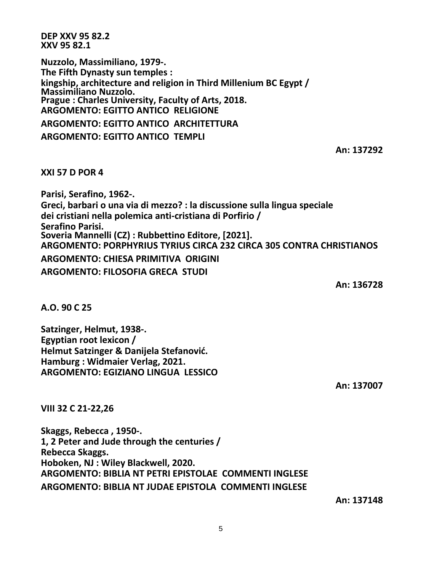**DEP XXV 95 82.2 XXV 95 82.1**

**Nuzzolo, Massimiliano, 1979-. The Fifth Dynasty sun temples : kingship, architecture and religion in Third Millenium BC Egypt / Massimiliano Nuzzolo. Prague : Charles University, Faculty of Arts, 2018. ARGOMENTO: EGITTO ANTICO RELIGIONE ARGOMENTO: EGITTO ANTICO ARCHITETTURA ARGOMENTO: EGITTO ANTICO TEMPLI**

**An: 137292**

**XXI 57 D POR 4**

**Parisi, Serafino, 1962-. Greci, barbari o una via di mezzo? : la discussione sulla lingua speciale dei cristiani nella polemica anti-cristiana di Porfirio / Serafino Parisi. Soveria Mannelli (CZ) : Rubbettino Editore, [2021]. ARGOMENTO: PORPHYRIUS TYRIUS CIRCA 232 CIRCA 305 CONTRA CHRISTIANOS ARGOMENTO: CHIESA PRIMITIVA ORIGINI ARGOMENTO: FILOSOFIA GRECA STUDI**

**An: 136728**

**A.O. 90 C 25**

**Satzinger, Helmut, 1938-. Egyptian root lexicon / Helmut Satzinger & Danijela Stefanović. Hamburg : Widmaier Verlag, 2021. ARGOMENTO: EGIZIANO LINGUA LESSICO**

**An: 137007**

**VIII 32 C 21-22,26**

**Skaggs, Rebecca , 1950-. 1, 2 Peter and Jude through the centuries / Rebecca Skaggs. Hoboken, NJ : Wiley Blackwell, 2020. ARGOMENTO: BIBLIA NT PETRI EPISTOLAE COMMENTI INGLESE ARGOMENTO: BIBLIA NT JUDAE EPISTOLA COMMENTI INGLESE**